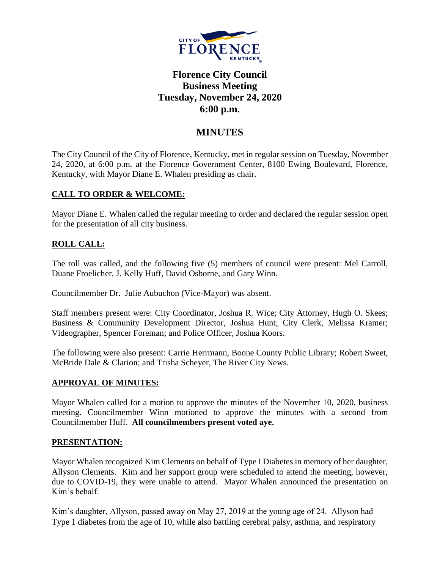

# **Florence City Council Business Meeting Tuesday, November 24, 2020 6:00 p.m.**

## **MINUTES**

The City Council of the City of Florence, Kentucky, met in regular session on Tuesday, November 24, 2020, at 6:00 p.m. at the Florence Government Center, 8100 Ewing Boulevard, Florence, Kentucky, with Mayor Diane E. Whalen presiding as chair.

### **CALL TO ORDER & WELCOME:**

Mayor Diane E. Whalen called the regular meeting to order and declared the regular session open for the presentation of all city business.

## **ROLL CALL:**

The roll was called, and the following five (5) members of council were present: Mel Carroll, Duane Froelicher, J. Kelly Huff, David Osborne, and Gary Winn.

Councilmember Dr. Julie Aubuchon (Vice-Mayor) was absent.

Staff members present were: City Coordinator, Joshua R. Wice; City Attorney, Hugh O. Skees; Business & Community Development Director, Joshua Hunt; City Clerk, Melissa Kramer; Videographer, Spencer Foreman; and Police Officer, Joshua Koors.

The following were also present: Carrie Herrmann, Boone County Public Library; Robert Sweet, McBride Dale & Clarion; and Trisha Scheyer, The River City News.

### **APPROVAL OF MINUTES:**

Mayor Whalen called for a motion to approve the minutes of the November 10, 2020, business meeting. Councilmember Winn motioned to approve the minutes with a second from Councilmember Huff. **All councilmembers present voted aye.** 

### **PRESENTATION:**

Mayor Whalen recognized Kim Clements on behalf of Type I Diabetes in memory of her daughter, Allyson Clements. Kim and her support group were scheduled to attend the meeting, however, due to COVID-19, they were unable to attend. Mayor Whalen announced the presentation on Kim's behalf.

Kim's daughter, Allyson, passed away on May 27, 2019 at the young age of 24. Allyson had Type 1 diabetes from the age of 10, while also battling cerebral palsy, asthma, and respiratory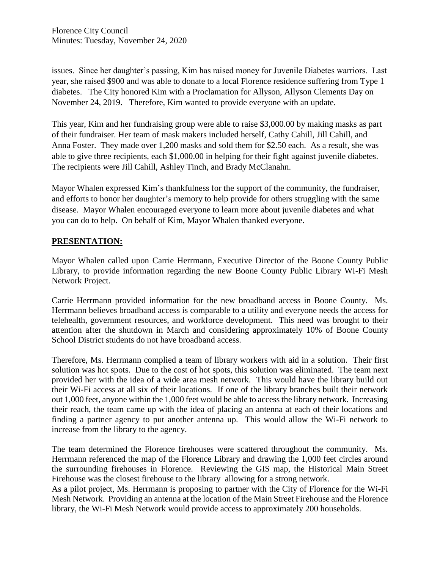issues. Since her daughter's passing, Kim has raised money for Juvenile Diabetes warriors. Last year, she raised \$900 and was able to donate to a local Florence residence suffering from Type 1 diabetes. The City honored Kim with a Proclamation for Allyson, Allyson Clements Day on November 24, 2019. Therefore, Kim wanted to provide everyone with an update.

This year, Kim and her fundraising group were able to raise \$3,000.00 by making masks as part of their fundraiser. Her team of mask makers included herself, Cathy Cahill, Jill Cahill, and Anna Foster. They made over 1,200 masks and sold them for \$2.50 each. As a result, she was able to give three recipients, each \$1,000.00 in helping for their fight against juvenile diabetes. The recipients were Jill Cahill, Ashley Tinch, and Brady McClanahn.

Mayor Whalen expressed Kim's thankfulness for the support of the community, the fundraiser, and efforts to honor her daughter's memory to help provide for others struggling with the same disease. Mayor Whalen encouraged everyone to learn more about juvenile diabetes and what you can do to help. On behalf of Kim, Mayor Whalen thanked everyone.

### **PRESENTATION:**

Mayor Whalen called upon Carrie Herrmann, Executive Director of the Boone County Public Library, to provide information regarding the new Boone County Public Library Wi-Fi Mesh Network Project.

Carrie Herrmann provided information for the new broadband access in Boone County. Ms. Herrmann believes broadband access is comparable to a utility and everyone needs the access for telehealth, government resources, and workforce development. This need was brought to their attention after the shutdown in March and considering approximately 10% of Boone County School District students do not have broadband access.

Therefore, Ms. Herrmann complied a team of library workers with aid in a solution. Their first solution was hot spots. Due to the cost of hot spots, this solution was eliminated. The team next provided her with the idea of a wide area mesh network. This would have the library build out their Wi-Fi access at all six of their locations. If one of the library branches built their network out 1,000 feet, anyone within the 1,000 feet would be able to access the library network. Increasing their reach, the team came up with the idea of placing an antenna at each of their locations and finding a partner agency to put another antenna up. This would allow the Wi-Fi network to increase from the library to the agency.

The team determined the Florence firehouses were scattered throughout the community. Ms. Herrmann referenced the map of the Florence Library and drawing the 1,000 feet circles around the surrounding firehouses in Florence. Reviewing the GIS map, the Historical Main Street Firehouse was the closest firehouse to the library allowing for a strong network.

As a pilot project, Ms. Herrmann is proposing to partner with the City of Florence for the Wi-Fi Mesh Network. Providing an antenna at the location of the Main Street Firehouse and the Florence library, the Wi-Fi Mesh Network would provide access to approximately 200 households.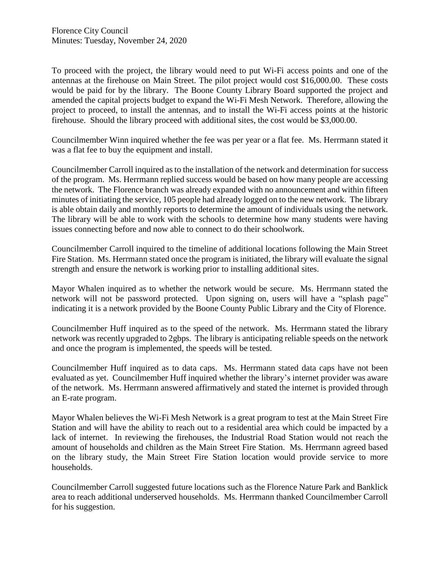To proceed with the project, the library would need to put Wi-Fi access points and one of the antennas at the firehouse on Main Street. The pilot project would cost \$16,000.00. These costs would be paid for by the library. The Boone County Library Board supported the project and amended the capital projects budget to expand the Wi-Fi Mesh Network. Therefore, allowing the project to proceed, to install the antennas, and to install the Wi-Fi access points at the historic firehouse. Should the library proceed with additional sites, the cost would be \$3,000.00.

Councilmember Winn inquired whether the fee was per year or a flat fee. Ms. Herrmann stated it was a flat fee to buy the equipment and install.

Councilmember Carroll inquired as to the installation of the network and determination for success of the program. Ms. Herrmann replied success would be based on how many people are accessing the network. The Florence branch was already expanded with no announcement and within fifteen minutes of initiating the service, 105 people had already logged on to the new network. The library is able obtain daily and monthly reports to determine the amount of individuals using the network. The library will be able to work with the schools to determine how many students were having issues connecting before and now able to connect to do their schoolwork.

Councilmember Carroll inquired to the timeline of additional locations following the Main Street Fire Station. Ms. Herrmann stated once the program is initiated, the library will evaluate the signal strength and ensure the network is working prior to installing additional sites.

Mayor Whalen inquired as to whether the network would be secure. Ms. Herrmann stated the network will not be password protected. Upon signing on, users will have a "splash page" indicating it is a network provided by the Boone County Public Library and the City of Florence.

Councilmember Huff inquired as to the speed of the network. Ms. Herrmann stated the library network was recently upgraded to 2gbps. The library is anticipating reliable speeds on the network and once the program is implemented, the speeds will be tested.

Councilmember Huff inquired as to data caps. Ms. Herrmann stated data caps have not been evaluated as yet. Councilmember Huff inquired whether the library's internet provider was aware of the network. Ms. Herrmann answered affirmatively and stated the internet is provided through an E-rate program.

Mayor Whalen believes the Wi-Fi Mesh Network is a great program to test at the Main Street Fire Station and will have the ability to reach out to a residential area which could be impacted by a lack of internet. In reviewing the firehouses, the Industrial Road Station would not reach the amount of households and children as the Main Street Fire Station. Ms. Herrmann agreed based on the library study, the Main Street Fire Station location would provide service to more households.

Councilmember Carroll suggested future locations such as the Florence Nature Park and Banklick area to reach additional underserved households. Ms. Herrmann thanked Councilmember Carroll for his suggestion.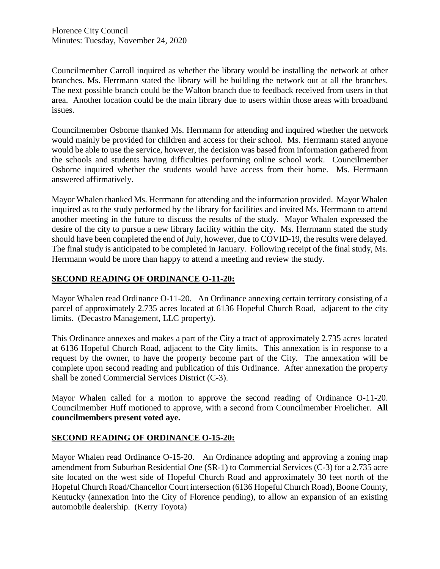Councilmember Carroll inquired as whether the library would be installing the network at other branches. Ms. Herrmann stated the library will be building the network out at all the branches. The next possible branch could be the Walton branch due to feedback received from users in that area. Another location could be the main library due to users within those areas with broadband issues.

Councilmember Osborne thanked Ms. Herrmann for attending and inquired whether the network would mainly be provided for children and access for their school. Ms. Herrmann stated anyone would be able to use the service, however, the decision was based from information gathered from the schools and students having difficulties performing online school work. Councilmember Osborne inquired whether the students would have access from their home. Ms. Herrmann answered affirmatively.

Mayor Whalen thanked Ms. Herrmann for attending and the information provided. Mayor Whalen inquired as to the study performed by the library for facilities and invited Ms. Herrmann to attend another meeting in the future to discuss the results of the study. Mayor Whalen expressed the desire of the city to pursue a new library facility within the city. Ms. Herrmann stated the study should have been completed the end of July, however, due to COVID-19, the results were delayed. The final study is anticipated to be completed in January. Following receipt of the final study, Ms. Herrmann would be more than happy to attend a meeting and review the study.

### **SECOND READING OF ORDINANCE O-11-20:**

Mayor Whalen read Ordinance O-11-20. An Ordinance annexing certain territory consisting of a parcel of approximately 2.735 acres located at 6136 Hopeful Church Road, adjacent to the city limits. (Decastro Management, LLC property).

This Ordinance annexes and makes a part of the City a tract of approximately 2.735 acres located at 6136 Hopeful Church Road, adjacent to the City limits. This annexation is in response to a request by the owner, to have the property become part of the City. The annexation will be complete upon second reading and publication of this Ordinance. After annexation the property shall be zoned Commercial Services District (C-3).

Mayor Whalen called for a motion to approve the second reading of Ordinance O-11-20. Councilmember Huff motioned to approve, with a second from Councilmember Froelicher. **All councilmembers present voted aye.** 

### **SECOND READING OF ORDINANCE O-15-20:**

Mayor Whalen read Ordinance O-15-20. An Ordinance adopting and approving a zoning map amendment from Suburban Residential One (SR-1) to Commercial Services (C-3) for a 2.735 acre site located on the west side of Hopeful Church Road and approximately 30 feet north of the Hopeful Church Road/Chancellor Court intersection (6136 Hopeful Church Road), Boone County, Kentucky (annexation into the City of Florence pending), to allow an expansion of an existing automobile dealership. (Kerry Toyota)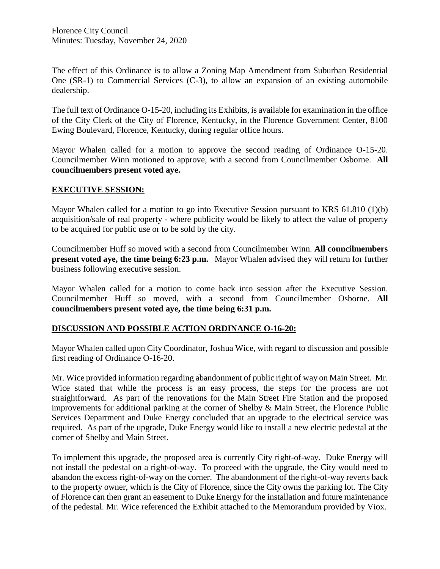The effect of this Ordinance is to allow a Zoning Map Amendment from Suburban Residential One (SR-1) to Commercial Services (C-3), to allow an expansion of an existing automobile dealership.

The full text of Ordinance O-15-20, including its Exhibits, is available for examination in the office of the City Clerk of the City of Florence, Kentucky, in the Florence Government Center, 8100 Ewing Boulevard, Florence, Kentucky, during regular office hours.

Mayor Whalen called for a motion to approve the second reading of Ordinance O-15-20. Councilmember Winn motioned to approve, with a second from Councilmember Osborne. **All councilmembers present voted aye.** 

#### **EXECUTIVE SESSION:**

Mayor Whalen called for a motion to go into Executive Session pursuant to KRS 61.810 (1)(b) acquisition/sale of real property - where publicity would be likely to affect the value of property to be acquired for public use or to be sold by the city.

Councilmember Huff so moved with a second from Councilmember Winn. **All councilmembers present voted aye, the time being 6:23 p.m.** Mayor Whalen advised they will return for further business following executive session.

Mayor Whalen called for a motion to come back into session after the Executive Session. Councilmember Huff so moved, with a second from Councilmember Osborne. **All councilmembers present voted aye, the time being 6:31 p.m.**

### **DISCUSSION AND POSSIBLE ACTION ORDINANCE O-16-20:**

Mayor Whalen called upon City Coordinator, Joshua Wice, with regard to discussion and possible first reading of Ordinance O-16-20.

Mr. Wice provided information regarding abandonment of public right of way on Main Street. Mr. Wice stated that while the process is an easy process, the steps for the process are not straightforward. As part of the renovations for the Main Street Fire Station and the proposed improvements for additional parking at the corner of Shelby & Main Street, the Florence Public Services Department and Duke Energy concluded that an upgrade to the electrical service was required. As part of the upgrade, Duke Energy would like to install a new electric pedestal at the corner of Shelby and Main Street.

To implement this upgrade, the proposed area is currently City right-of-way. Duke Energy will not install the pedestal on a right-of-way. To proceed with the upgrade, the City would need to abandon the excess right-of-way on the corner. The abandonment of the right-of-way reverts back to the property owner, which is the City of Florence, since the City owns the parking lot. The City of Florence can then grant an easement to Duke Energy for the installation and future maintenance of the pedestal. Mr. Wice referenced the Exhibit attached to the Memorandum provided by Viox.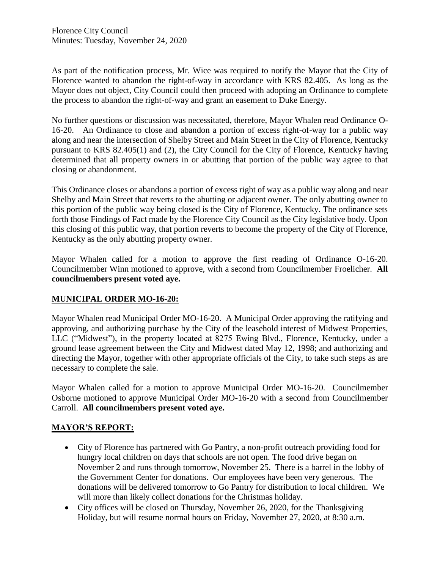As part of the notification process, Mr. Wice was required to notify the Mayor that the City of Florence wanted to abandon the right-of-way in accordance with KRS 82.405. As long as the Mayor does not object, City Council could then proceed with adopting an Ordinance to complete the process to abandon the right-of-way and grant an easement to Duke Energy.

No further questions or discussion was necessitated, therefore, Mayor Whalen read Ordinance O-16-20. An Ordinance to close and abandon a portion of excess right-of-way for a public way along and near the intersection of Shelby Street and Main Street in the City of Florence, Kentucky pursuant to KRS 82.405(1) and (2), the City Council for the City of Florence, Kentucky having determined that all property owners in or abutting that portion of the public way agree to that closing or abandonment.

This Ordinance closes or abandons a portion of excess right of way as a public way along and near Shelby and Main Street that reverts to the abutting or adjacent owner. The only abutting owner to this portion of the public way being closed is the City of Florence, Kentucky. The ordinance sets forth those Findings of Fact made by the Florence City Council as the City legislative body. Upon this closing of this public way, that portion reverts to become the property of the City of Florence, Kentucky as the only abutting property owner.

Mayor Whalen called for a motion to approve the first reading of Ordinance O-16-20. Councilmember Winn motioned to approve, with a second from Councilmember Froelicher. **All councilmembers present voted aye.** 

### **MUNICIPAL ORDER MO-16-20:**

Mayor Whalen read Municipal Order MO-16-20. A Municipal Order approving the ratifying and approving, and authorizing purchase by the City of the leasehold interest of Midwest Properties, LLC ("Midwest"), in the property located at 8275 Ewing Blvd., Florence, Kentucky, under a ground lease agreement between the City and Midwest dated May 12, 1998; and authorizing and directing the Mayor, together with other appropriate officials of the City, to take such steps as are necessary to complete the sale.

Mayor Whalen called for a motion to approve Municipal Order MO-16-20. Councilmember Osborne motioned to approve Municipal Order MO-16-20 with a second from Councilmember Carroll. **All councilmembers present voted aye.**

### **MAYOR'S REPORT:**

- City of Florence has partnered with Go Pantry, a non-profit outreach providing food for hungry local children on days that schools are not open. The food drive began on November 2 and runs through tomorrow, November 25. There is a barrel in the lobby of the Government Center for donations. Our employees have been very generous. The donations will be delivered tomorrow to Go Pantry for distribution to local children. We will more than likely collect donations for the Christmas holiday.
- City offices will be closed on Thursday, November 26, 2020, for the Thanksgiving Holiday, but will resume normal hours on Friday, November 27, 2020, at 8:30 a.m.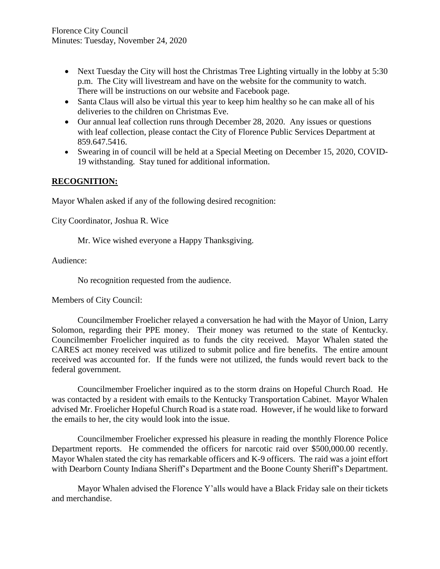- Next Tuesday the City will host the Christmas Tree Lighting virtually in the lobby at 5:30 p.m. The City will livestream and have on the website for the community to watch. There will be instructions on our website and Facebook page.
- Santa Claus will also be virtual this year to keep him healthy so he can make all of his deliveries to the children on Christmas Eve.
- Our annual leaf collection runs through December 28, 2020. Any issues or questions with leaf collection, please contact the City of Florence Public Services Department at 859.647.5416.
- Swearing in of council will be held at a Special Meeting on December 15, 2020, COVID-19 withstanding. Stay tuned for additional information.

## **RECOGNITION:**

Mayor Whalen asked if any of the following desired recognition:

City Coordinator, Joshua R. Wice

Mr. Wice wished everyone a Happy Thanksgiving.

Audience:

No recognition requested from the audience.

Members of City Council:

Councilmember Froelicher relayed a conversation he had with the Mayor of Union, Larry Solomon, regarding their PPE money. Their money was returned to the state of Kentucky. Councilmember Froelicher inquired as to funds the city received. Mayor Whalen stated the CARES act money received was utilized to submit police and fire benefits. The entire amount received was accounted for. If the funds were not utilized, the funds would revert back to the federal government.

Councilmember Froelicher inquired as to the storm drains on Hopeful Church Road. He was contacted by a resident with emails to the Kentucky Transportation Cabinet. Mayor Whalen advised Mr. Froelicher Hopeful Church Road is a state road. However, if he would like to forward the emails to her, the city would look into the issue.

Councilmember Froelicher expressed his pleasure in reading the monthly Florence Police Department reports. He commended the officers for narcotic raid over \$500,000.00 recently. Mayor Whalen stated the city has remarkable officers and K-9 officers. The raid was a joint effort with Dearborn County Indiana Sheriff's Department and the Boone County Sheriff's Department.

Mayor Whalen advised the Florence Y'alls would have a Black Friday sale on their tickets and merchandise.